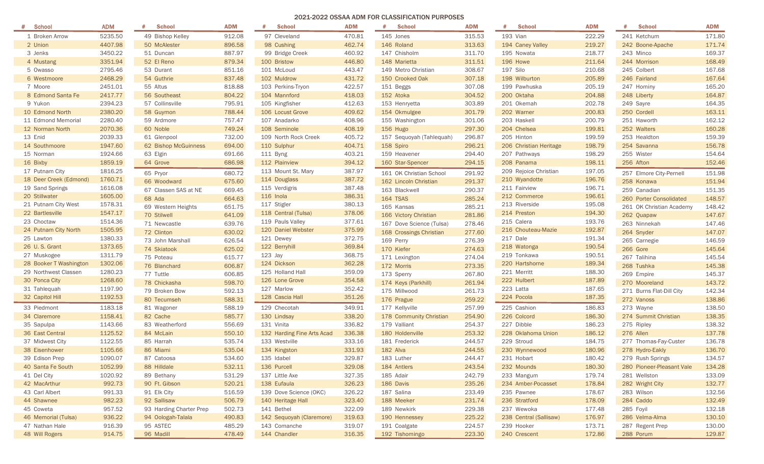## 2021-2022 OSSAA ADM FOR CLASSIFICATION PURPOSES

| <b>School</b><br>#     | <b>ADM</b> | <b>School</b>           | <b>ADM</b> | <b>School</b><br>#         | <b>ADM</b> | <b>School</b><br>#       | <b>ADM</b> | <b>School</b><br>#     | <b>ADM</b> | <b>School</b><br>#        | <b>ADM</b> |
|------------------------|------------|-------------------------|------------|----------------------------|------------|--------------------------|------------|------------------------|------------|---------------------------|------------|
| 1 Broken Arrow         | 5235.50    | 49 Bishop Kelley        | 912.08     | 97 Cleveland               | 470.81     | 145 Jones                | 315.53     | 193 Vian               | 222.29     | 241 Ketchum               | 171.80     |
| 2 Union                | 4407.98    | 50 McAlester            | 896.58     | 98 Cushing                 | 462.74     | 146 Roland               | 313.63     | 194 Caney Valley       | 219.27     | 242 Boone-Apache          | 171.74     |
| 3 Jenks                | 3450.22    | 51 Duncan               | 887.97     | 99 Bridge Creek            | 460.92     | 147 Chisholm             | 311.70     | 195 Nowata             | 218.77     | 243 Minco                 | 169.37     |
| 4 Mustang              | 3351.94    | 52 El Reno              | 879.34     | 100 Bristow                | 446.80     | 148 Marietta             | 311.51     | 196 Howe               | 211.64     | 244 Morrison              | 168.49     |
| 5 Owasso               | 2795.46    | 53 Durant               | 851.16     | 101 McLoud                 | 443.47     | 149 Metro Christian      | 308.67     | 197 Silo               | 210.68     | 245 Colbert               | 167.68     |
| 6 Westmoore            | 2468.29    | 54 Guthrie              | 837.48     | 102 Muldrow                | 431.72     | 150 Crooked Oak          | 307.18     | 198 Wilburton          | 205.89     | 246 Fairland              | 167.64     |
| 7 Moore                | 2451.01    | 55 Altus                | 818.88     | 103 Perkins-Tryon          | 422.57     | 151 Beggs                | 307.08     | 199 Pawhuska           | 205.19     | 247 Hominy                | 165.20     |
| 8 Edmond Santa Fe      | 2417.77    | 56 Southeast            | 804.22     | 104 Mannford               | 418.03     | 152 Atoka                | 304.52     | 200 Oktaha             | 204.88     | 248 Liberty               | 164.87     |
| 9 Yukon                | 2394.23    | 57 Collinsville         | 795.91     | 105 Kingfisher             | 412.63     | 153 Henryetta            | 303.89     | 201 Okemah             | 202.78     | 249 Sayre                 | 164.35     |
| 10 Edmond North        | 2380.20    | 58 Guymon               | 788.44     | 106 Locust Grove           | 409.62     | 154 Okmulgee             | 301.79     | 202 Warner             | 200.83     | 250 Cordell               | 163.11     |
| 11 Edmond Memorial     | 2280.40    | 59 Ardmore              | 757.47     | 107 Anadarko               | 408.96     | 155 Washington           | 301.06     | 203 Haskell            | 200.79     | 251 Haworth               | 162.12     |
| 12 Norman North        | 2070.36    | 60 Noble                | 749.24     | 108 Seminole               | 408.19     | 156 Hugo                 | 297.30     | 204 Chelsea            | 199.81     | 252 Walters               | 160.28     |
| 13 Enid                | 2039.33    | 61 Glenpool             | 732.00     | 109 North Rock Creek       | 405.72     | 157 Sequoyah (Tahlequah) | 296.87     | 205 Hinton             | 199.59     | 253 Healdton              | 159.39     |
| 14 Southmoore          | 1947.60    | 62 Bishop McGuinness    | 694.00     | 110 Sulphur                | 404.71     | 158 Spiro                | 296.21     | 206 Christian Heritage | 198.79     | 254 Savanna               | 156.78     |
| 15 Norman              | 1924.66    | 63 Elgin                | 691.66     | 111 Byng                   | 403.21     | 159 Heavener             | 294.40     | 207 Pathways           | 198.29     | 255 Wister                | 154.64     |
| 16 Bixby               | 1859.19    | 64 Grove                | 686.98     | 112 Plainview              | 394.12     | 160 Star-Spencer         | 294.15     | 208 Panama             | 198.11     | 256 Afton                 | 152.46     |
| 17 Putnam City         | 1816.25    | 65 Pryor                | 680.72     | 113 Mount St. Mary         | 387.97     | 161 OK Christian School  | 291.92     | 209 Rejoice Christian  | 197.05     | 257 Elmore City-Pernell   | 151.98     |
| 18 Deer Creek (Edmond) | 1760.71    | 66 Woodward             | 675.60     | 114 Douglass               | 387.72     | 162 Lincoln Christian    | 291.37     | 210 Wyandotte          | 196.76     | 258 Konawa                | 151.94     |
| 19 Sand Springs        | 1616.08    | 67 Classen SAS at NE    | 669.45     | 115 Verdigris              | 387.48     | 163 Blackwell            | 290.37     | 211 Fairview           | 196.71     | 259 Canadian              | 151.35     |
| 20 Stillwater          | 1605.00    | 68 Ada                  | 664.63     | 116 Inola                  | 386.31     | 164 TSAS                 | 285.24     | 212 Commerce           | 196.61     | 260 Porter Consolidated   | 148.57     |
| 21 Putnam City West    | 1578.31    | 69 Western Heights      | 651.75     | 117 Stigler                | 380.13     | 165 Kansas               | 285.21     | 213 Riverside          | 195.08     | 261 OK Christian Academy  | 148.42     |
| 22 Bartlesville        | 1547.17    | 70 Stilwell             | 641.09     | 118 Central (Tulsa)        | 378.06     | 166 Victory Christian    | 281.86     | 214 Preston            | 194.30     | 262 Quapaw                | 147.67     |
| 23 Choctaw             | 1514.36    | 71 Newcastle            | 639.76     | 119 Pauls Valley           | 377.61     | 167 Dove Science (Tulsa) | 278.46     | 215 Calera             | 193.76     | 263 Ninnekah              | 147.46     |
| 24 Putnam City North   | 1505.95    | 72 Clinton              | 630.02     | 120 Daniel Webster         | 375.99     | 168 Crossings Christian  | 277.60     | 216 Chouteau-Mazie     | 192.87     | 264 Snyder                | 147.07     |
| 25 Lawton              | 1380.33    | 73 John Marshall        | 626.54     | 121 Dewey                  | 372.75     | 169 Perry                | 276.39     | 217 Dale               | 191.34     | 265 Carnegie              | 146.59     |
| 26 U.S. Grant          | 1373.65    | 74 Skiatook             | 625.02     | 122 Berryhill              | 369.84     | 170 Kiefer               | 274.63     | 218 Watonga            | 190.54     | 266 Gore                  | 145.64     |
| 27 Muskogee            | 1311.79    | 75 Poteau               | 615.77     | $123$ Jay                  | 368.75     | 171 Lexington            | 274.04     | 219 Tonkawa            | 190.51     | 267 Talihina              | 145.54     |
| 28 Booker T Washington | 1302.06    | 76 Blanchard            | 606.87     | 124 Dickson                | 362.28     | 172 Morris               | 273.35     | 220 Hartshorne         | 189.34     | 268 Tushka                | 145.38     |
| 29 Northwest Classen   | 1280.23    | 77 Tuttle               | 606.85     | 125 Holland Hall           | 359.09     | 173 Sperry               | 267.80     | 221 Merritt            | 188.30     | 269 Empire                | 145.37     |
| 30 Ponca City          | 1268.60    | 78 Chickasha            | 598.70     | 126 Lone Grove             | 354.58     | 174 Keys (Parkhill)      | 261.94     | 222 Hulbert            | 187.89     | 270 Mooreland             | 143.72     |
| 31 Tahlequah           | 1197.90    | 79 Broken Bow           | 592.13     | 127 Marlow                 | 352.42     | 175 Millwood             | 261.73     | 223 Latta              | 187.65     | 271 Burns Flat-Dill City  | 142.34     |
| 32 Capitol Hill        | 1192.53    | 80 Tecumseh             | 588.31     | 128 Cascia Hall            | 351.26     | 176 Prague               | 259.22     | 224 Pocola             | 187.35     | 272 Vanoss                | 138.86     |
| 33 Piedmont            | 1183.18    | 81 Wagoner              | 588.19     | 129 Checotah               | 349.91     | 177 Kellyville           | 257.99     | 225 Cashion            | 186.83     | 273 Wayne                 | 138.50     |
| 34 Claremore           | 1158.41    | 82 Cache                | 585.77     | 130 Lindsay                | 338.20     | 178 Community Christian  | 254.90     | 226 Colcord            | 186.30     | 274 Summit Christian      | 138.35     |
| 35 Sapulpa             | 1143.66    | 83 Weatherford          | 556.69     | 131 Vinita                 | 336.82     | 179 Valliant             | 254.37     | 227 Dibble             | 186.23     | 275 Ripley                | 138.32     |
| 36 East Central        | 1125.52    | 84 McLain               | 550.10     | 132 Harding Fine Arts Acad | 336.38     | 180 Holdenville          | 253.32     | 228 Oklahoma Union     | 186.12     | 276 Allen                 | 137.78     |
| 37 Midwest City        | 1122.55    | 85 Harrah               | 535.74     | 133 Westville              | 333.16     | 181 Frederick            | 244.57     | 229 Stroud             | 184.75     | 277 Thomas-Fay-Custer     | 136.78     |
| 38 Eisenhower          | 1105.66    | 86 Miami                | 535.04     | 134 Kingston               | 331.93     | 182 Alva                 | 244.55     | 230 Wynnewood          | 180.96     | 278 Hydro-Eakly           | 136.70     |
| 39 Edison Prep         | 1090.07    | 87 Catoosa              | 534.60     | 135 Idabel                 | 329.87     | 183 Luther               | 244.47     | 231 Hobart             | 180.42     | 279 Rush Springs          | 134.57     |
| 40 Santa Fe South      | 1052.99    | 88 Hilldale             | 532.11     | 136 Purcell                | 329.08     | 184 Antlers              | 243.54     | 232 Mounds             | 180.30     | 280 Pioneer-Pleasant Vale | 134.28     |
| 41 Del City            | 1020.92    | 89 Bethany              | 531.29     | 137 Little Axe             | 327.35     | 185 Adair                | 242.79     | 233 Mangum             | 179.74     | 281 Wellston              | 133.09     |
| 42 MacArthur           | 992.73     | 90 Ft. Gibson           | 520.21     | 138 Eufaula                | 326.23     | 186 Davis                | 235.26     | 234 Amber-Pocasset     | 178.84     | 282 Wright City           | 132.77     |
| 43 Carl Albert         | 991.33     | 91 Elk City             | 516.59     | 139 Dove Science (OKC)     | 326.22     | 187 Salina               | 233.49     | 235 Pawnee             | 178.67     | 283 Wilson                | 132.56     |
| 44 Shawnee             | 982.23     | 92 Sallisaw             | 506.79     | 140 Heritage Hall          | 323.40     | 188 Meeker               | 231.74     | 236 Stratford          | 178.09     | 284 Caddo                 | 132.49     |
| 45 Coweta              | 957.52     | 93 Harding Charter Prep | 502.73     | 141 Bethel                 | 322.09     | 189 Newkirk              | 229.38     | 237 Wewoka             | 177.48     | 285 Foyil                 | 132.18     |
| 46 Memorial (Tulsa)    | 936.22     | 94 Oologah-Talala       | 490.83     | 142 Sequoyah (Claremore)   | 319.63     | 190 Hennessey            | 225.22     | 238 Central (Sallisaw) | 176.97     | 286 Velma-Alma            | 130.10     |
| 47 Nathan Hale         | 916.39     | 95 ASTEC                | 485.29     | 143 Comanche               | 319.07     | 191 Coalgate             | 224.57     | 239 Hooker             | 173.71     | 287 Regent Prep           | 130.00     |
| 48 Will Rogers         | 914.75     | 96 Madill               | 478.49     | 144 Chandler               | 316.35     | 192 Tishomingo           | 223.30     | 240 Crescent           | 172.86     | 288 Porum                 | 129.87     |